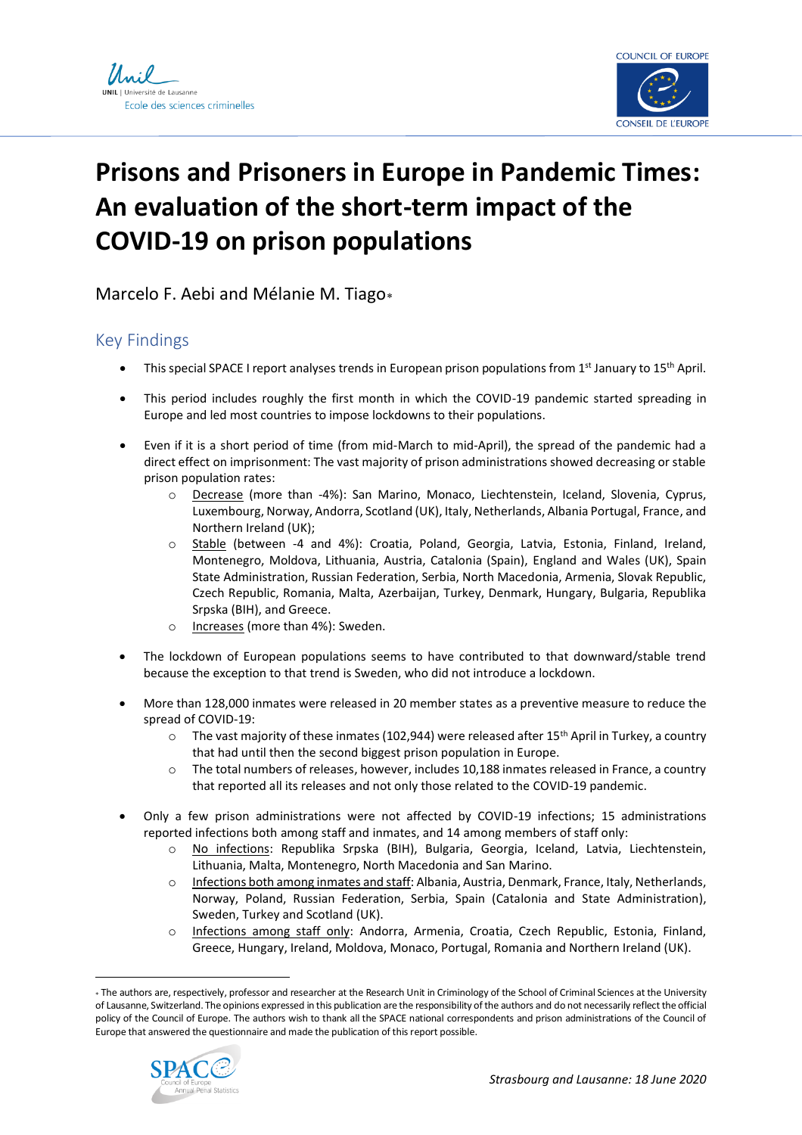



# **Prisons and Prisoners in Europe in Pandemic Times: An evaluation of the short-term impact of the COVID-19 on prison populations**

Marcelo F. Aebi and Mélanie M. Tiago

## Key Findings

- This special SPACE I report analyses trends in European prison populations from 1st January to 15th April.
- This period includes roughly the first month in which the COVID-19 pandemic started spreading in Europe and led most countries to impose lockdowns to their populations.
- Even if it is a short period of time (from mid-March to mid-April), the spread of the pandemic had a direct effect on imprisonment: The vast majority of prison administrations showed decreasing or stable prison population rates:
	- Decrease (more than -4%): San Marino, Monaco, Liechtenstein, Iceland, Slovenia, Cyprus, Luxembourg, Norway, Andorra, Scotland (UK), Italy, Netherlands, Albania Portugal, France, and Northern Ireland (UK);
	- o Stable (between -4 and 4%): Croatia, Poland, Georgia, Latvia, Estonia, Finland, Ireland, Montenegro, Moldova, Lithuania, Austria, Catalonia (Spain), England and Wales (UK), Spain State Administration, Russian Federation, Serbia, North Macedonia, Armenia, Slovak Republic, Czech Republic, Romania, Malta, Azerbaijan, Turkey, Denmark, Hungary, Bulgaria, Republika Srpska (BIH), and Greece.
	- o Increases (more than 4%): Sweden.
- The lockdown of European populations seems to have contributed to that downward/stable trend because the exception to that trend is Sweden, who did not introduce a lockdown.
- More than 128,000 inmates were released in 20 member states as a preventive measure to reduce the spread of COVID-19:
	- $\circ$  The vast majority of these inmates (102,944) were released after 15<sup>th</sup> April in Turkey, a country that had until then the second biggest prison population in Europe.
	- o The total numbers of releases, however, includes 10,188 inmates released in France, a country that reported all its releases and not only those related to the COVID-19 pandemic.
- Only a few prison administrations were not affected by COVID-19 infections; 15 administrations reported infections both among staff and inmates, and 14 among members of staff only:
	- o No infections: Republika Srpska (BIH), Bulgaria, Georgia, Iceland, Latvia, Liechtenstein, Lithuania, Malta, Montenegro, North Macedonia and San Marino.
	- o Infections both among inmates and staff: Albania, Austria, Denmark, France, Italy, Netherlands, Norway, Poland, Russian Federation, Serbia, Spain (Catalonia and State Administration), Sweden, Turkey and Scotland (UK).
	- o Infections among staff only: Andorra, Armenia, Croatia, Czech Republic, Estonia, Finland, Greece, Hungary, Ireland, Moldova, Monaco, Portugal, Romania and Northern Ireland (UK).

The authors are, respectively, professor and researcher at the Research Unit in Criminology of the School of Criminal Sciences at the University of Lausanne, Switzerland. The opinions expressed in this publication are the responsibility of the authors and do not necessarily reflect the official policy of the Council of Europe. The authors wish to thank all the SPACE national correspondents and prison administrations of the Council of Europe that answered the questionnaire and made the publication of this report possible.

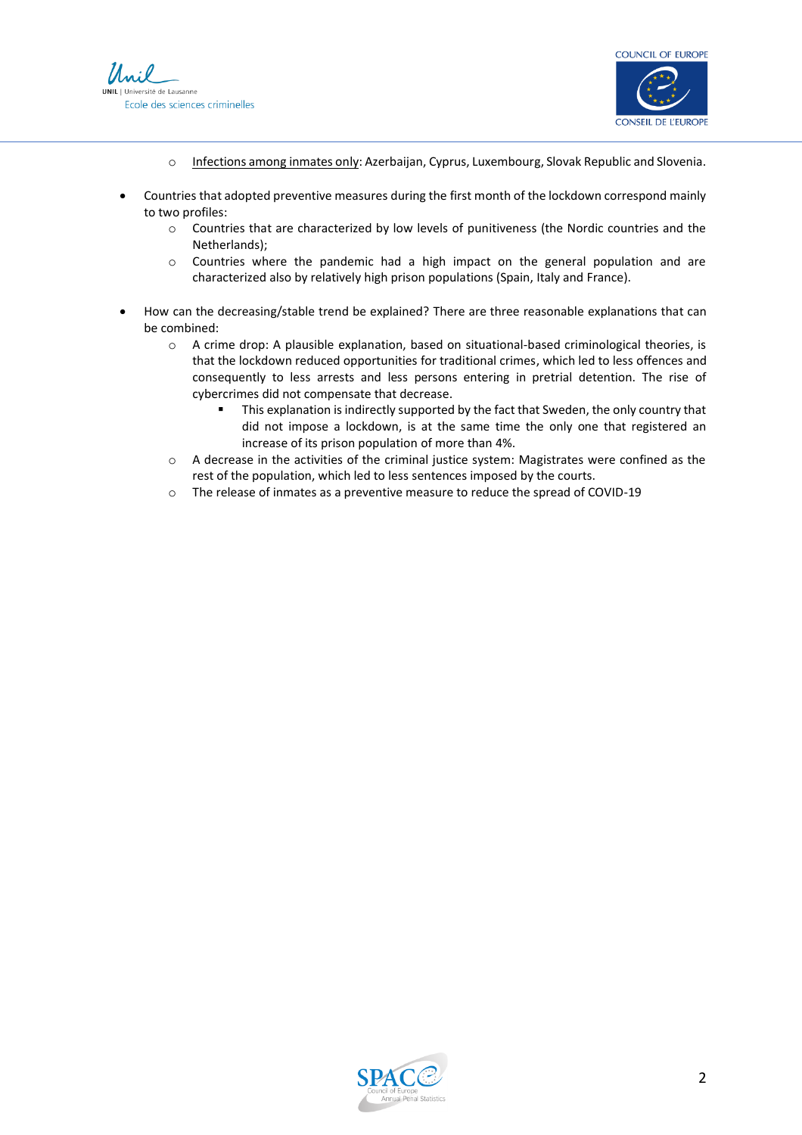



- o Infections among inmates only: Azerbaijan, Cyprus, Luxembourg, Slovak Republic and Slovenia.
- Countries that adopted preventive measures during the first month of the lockdown correspond mainly to two profiles:
	- o Countries that are characterized by low levels of punitiveness (the Nordic countries and the Netherlands);
	- $\circ$  Countries where the pandemic had a high impact on the general population and are characterized also by relatively high prison populations (Spain, Italy and France).
- How can the decreasing/stable trend be explained? There are three reasonable explanations that can be combined:
	- o A crime drop: A plausible explanation, based on situational-based criminological theories, is that the lockdown reduced opportunities for traditional crimes, which led to less offences and consequently to less arrests and less persons entering in pretrial detention. The rise of cybercrimes did not compensate that decrease.
		- This explanation is indirectly supported by the fact that Sweden, the only country that did not impose a lockdown, is at the same time the only one that registered an increase of its prison population of more than 4%.
	- o A decrease in the activities of the criminal justice system: Magistrates were confined as the rest of the population, which led to less sentences imposed by the courts.
	- o The release of inmates as a preventive measure to reduce the spread of COVID-19

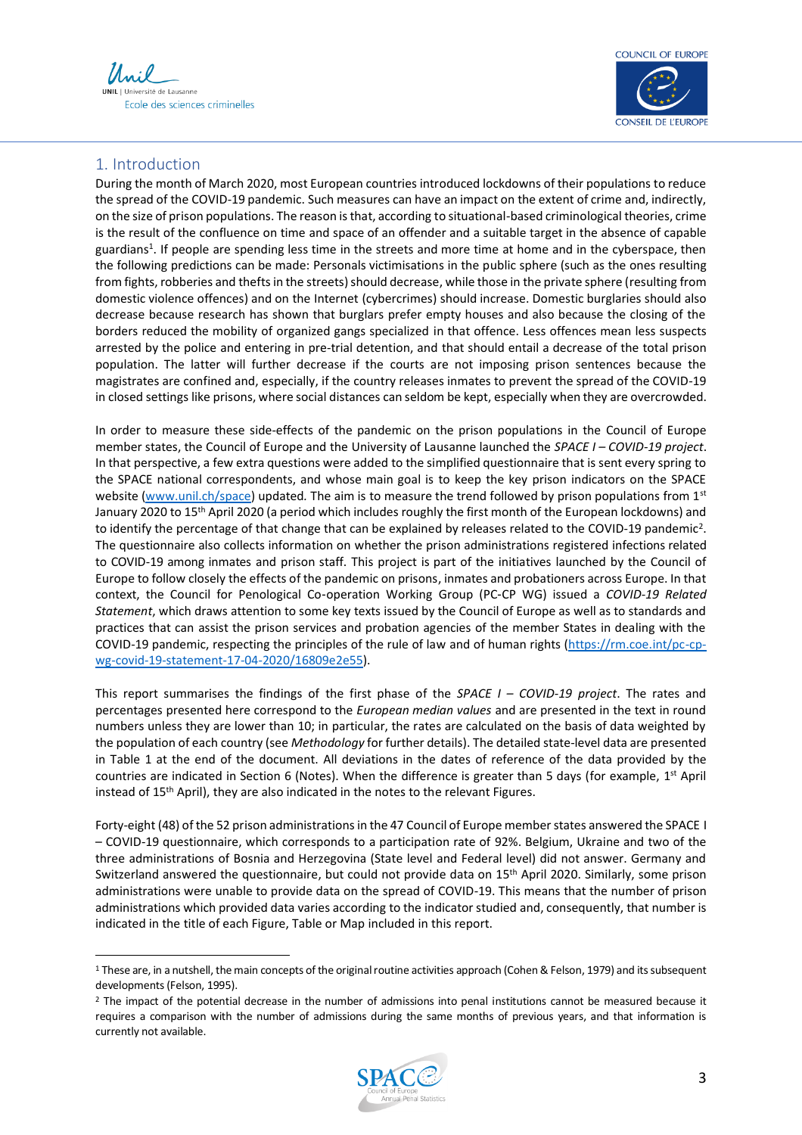



### 1. Introduction

During the month of March 2020, most European countries introduced lockdowns of their populations to reduce the spread of the COVID-19 pandemic. Such measures can have an impact on the extent of crime and, indirectly, on the size of prison populations. The reason is that, according to situational-based criminological theories, crime is the result of the confluence on time and space of an offender and a suitable target in the absence of capable guardians 1 . If people are spending less time in the streets and more time at home and in the cyberspace, then the following predictions can be made: Personals victimisations in the public sphere (such as the ones resulting from fights, robberies and thefts in the streets) should decrease, while those in the private sphere (resulting from domestic violence offences) and on the Internet (cybercrimes) should increase. Domestic burglaries should also decrease because research has shown that burglars prefer empty houses and also because the closing of the borders reduced the mobility of organized gangs specialized in that offence. Less offences mean less suspects arrested by the police and entering in pre-trial detention, and that should entail a decrease of the total prison population. The latter will further decrease if the courts are not imposing prison sentences because the magistrates are confined and, especially, if the country releases inmates to prevent the spread of the COVID-19 in closed settings like prisons, where social distances can seldom be kept, especially when they are overcrowded.

In order to measure these side-effects of the pandemic on the prison populations in the Council of Europe member states, the Council of Europe and the University of Lausanne launched the *SPACE I – COVID-19 project*. In that perspective, a few extra questions were added to the simplified questionnaire that is sent every spring to the SPACE national correspondents, and whose main goal is to keep the key prison indicators on the SPACE website [\(www.unil.ch/space\)](http://www.unil.ch/space) updated*.* The aim is to measure the trend followed by prison populations from 1st January 2020 to 15<sup>th</sup> April 2020 (a period which includes roughly the first month of the European lockdowns) and to identify the percentage of that change that can be explained by releases related to the COVID-19 pandemic<sup>2</sup>. The questionnaire also collects information on whether the prison administrations registered infections related to COVID-19 among inmates and prison staff. This project is part of the initiatives launched by the Council of Europe to follow closely the effects of the pandemic on prisons, inmates and probationers across Europe. In that context, the Council for Penological Co‑operation Working Group (PC‑CP WG) issued a *COVID-19 Related Statement*, which draws attention to some key texts issued by the Council of Europe as well as to standards and practices that can assist the prison services and probation agencies of the member States in dealing with the COVID-19 pandemic, respecting the principles of the rule of law and of human rights [\(https://rm.coe.int/pc-cp](https://rm.coe.int/pc-cp-wg-covid-19-statement-17-04-2020/16809e2e55)[wg-covid-19-statement-17-04-2020/16809e2e55\)](https://rm.coe.int/pc-cp-wg-covid-19-statement-17-04-2020/16809e2e55).

This report summarises the findings of the first phase of the *SPACE I – COVID-19 project*. The rates and percentages presented here correspond to the *European median values* and are presented in the text in round numbers unless they are lower than 10; in particular, the rates are calculated on the basis of data weighted by the population of each country (see *Methodology* for further details). The detailed state-level data are presented in Table 1 at the end of the document. All deviations in the dates of reference of the data provided by the countries are indicated in Section 6 (Notes). When the difference is greater than 5 days (for example, 1<sup>st</sup> April instead of 15th April), they are also indicated in the notes to the relevant Figures.

Forty-eight (48) of the 52 prison administrations in the 47 Council of Europe member states answered the SPACE I – COVID-19 questionnaire, which corresponds to a participation rate of 92%. Belgium, Ukraine and two of the three administrations of Bosnia and Herzegovina (State level and Federal level) did not answer. Germany and Switzerland answered the questionnaire, but could not provide data on 15th April 2020. Similarly, some prison administrations were unable to provide data on the spread of COVID-19. This means that the number of prison administrations which provided data varies according to the indicator studied and, consequently, that number is indicated in the title of each Figure, Table or Map included in this report.

<sup>&</sup>lt;sup>2</sup> The impact of the potential decrease in the number of admissions into penal institutions cannot be measured because it requires a comparison with the number of admissions during the same months of previous years, and that information is currently not available.



<sup>&</sup>lt;sup>1</sup> These are, in a nutshell, the main concepts of the original routine activities approach (Cohen & Felson, 1979) and its subsequent developments (Felson, 1995).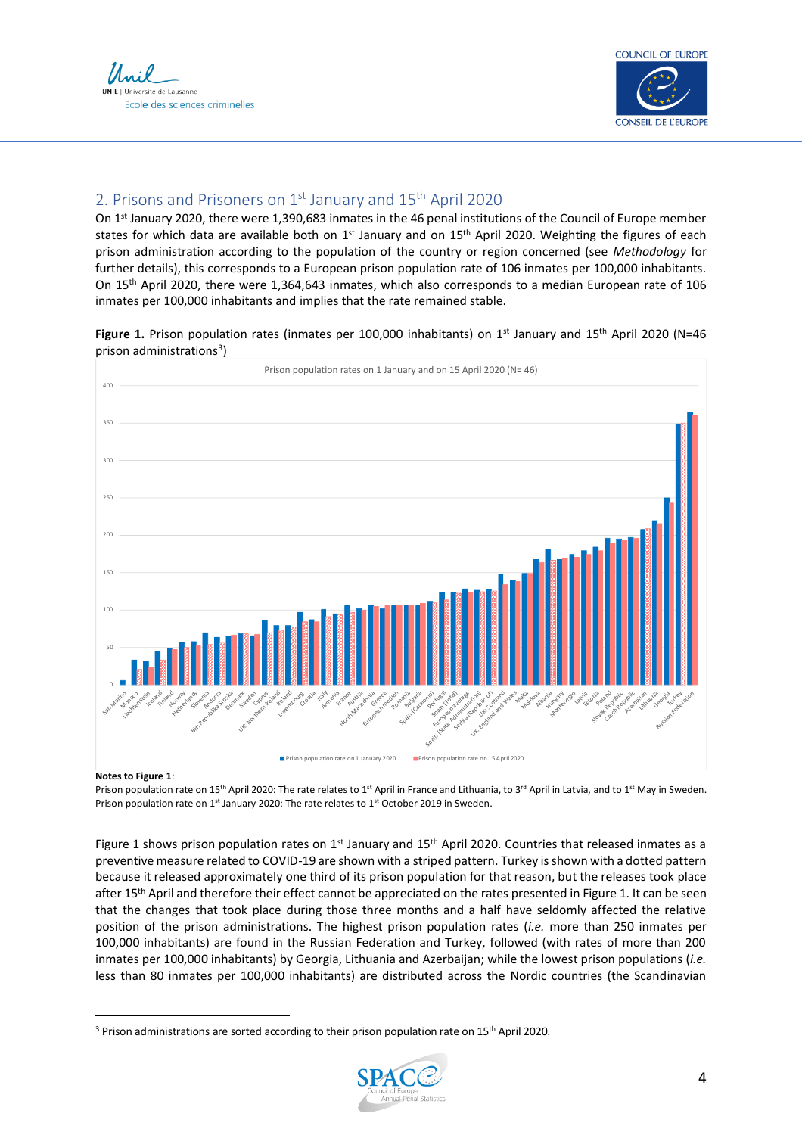Ecole des sciences criminelles



### 2. Prisons and Prisoners on 1st January and 15th April 2020

On 1st January 2020, there were 1,390,683 inmates in the 46 penal institutions of the Council of Europe member states for which data are available both on 1<sup>st</sup> January and on 15<sup>th</sup> April 2020. Weighting the figures of each prison administration according to the population of the country or region concerned (see *Methodology* for further details), this corresponds to a European prison population rate of 106 inmates per 100,000 inhabitants. On 15th April 2020, there were 1,364,643 inmates, which also corresponds to a median European rate of 106 inmates per 100,000 inhabitants and implies that the rate remained stable.





#### **Notes to Figure 1**:

Prison population rate on 15<sup>th</sup> April 2020: The rate relates to 1<sup>st</sup> April in France and Lithuania, to 3<sup>rd</sup> April in Latvia, and to 1<sup>st</sup> May in Sweden. Prison population rate on 1<sup>st</sup> January 2020: The rate relates to 1<sup>st</sup> October 2019 in Sweden.

Figure 1 shows prison population rates on  $1<sup>st</sup>$  January and  $15<sup>th</sup>$  April 2020. Countries that released inmates as a preventive measure related to COVID-19 are shown with a striped pattern. Turkey is shown with a dotted pattern because it released approximately one third of its prison population for that reason, but the releases took place after 15<sup>th</sup> April and therefore their effect cannot be appreciated on the rates presented in Figure 1. It can be seen that the changes that took place during those three months and a half have seldomly affected the relative position of the prison administrations. The highest prison population rates (*i.e.* more than 250 inmates per 100,000 inhabitants) are found in the Russian Federation and Turkey, followed (with rates of more than 200 inmates per 100,000 inhabitants) by Georgia, Lithuania and Azerbaijan; while the lowest prison populations (*i.e.* less than 80 inmates per 100,000 inhabitants) are distributed across the Nordic countries (the Scandinavian

<sup>&</sup>lt;sup>3</sup> Prison administrations are sorted according to their prison population rate on 15<sup>th</sup> April 2020.

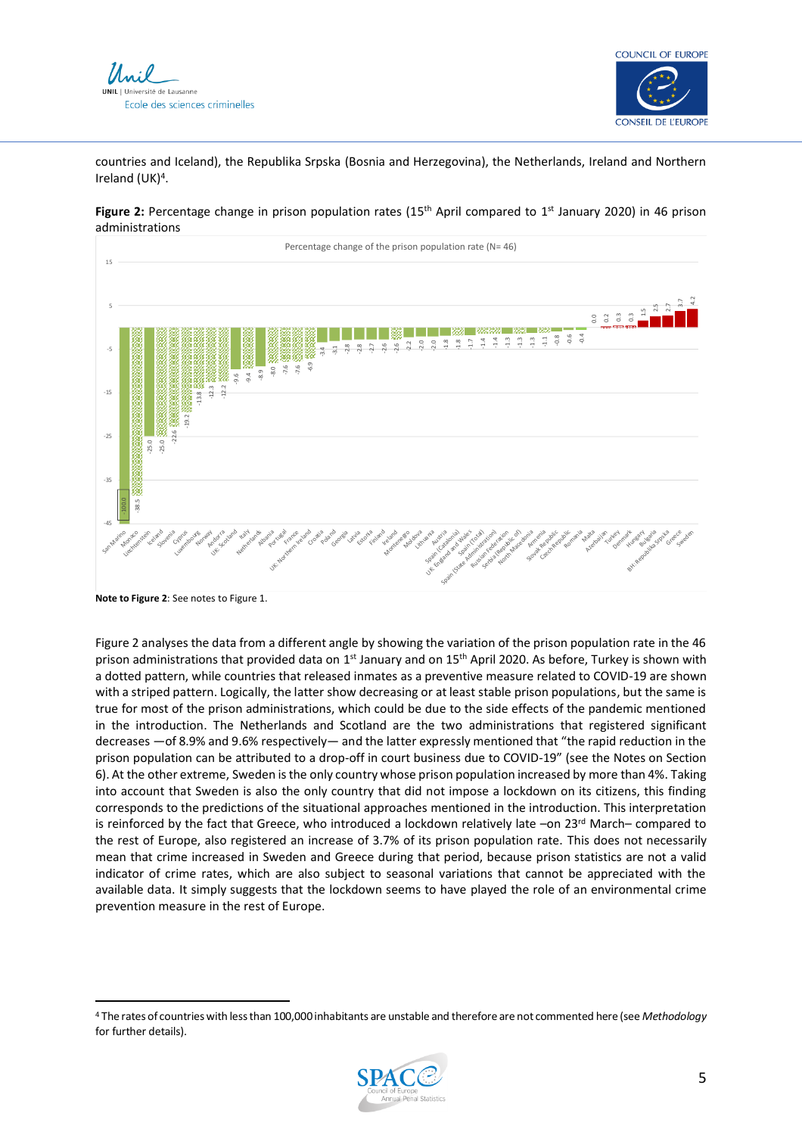



countries and Iceland), the Republika Srpska (Bosnia and Herzegovina), the Netherlands, Ireland and Northern Ireland (UK)<sup>4</sup>.



Figure 2: Percentage change in prison population rates (15<sup>th</sup> April compared to 1<sup>st</sup> January 2020) in 46 prison administrations

Figure 2 analyses the data from a different angle by showing the variation of the prison population rate in the 46 prison administrations that provided data on 1<sup>st</sup> January and on 15<sup>th</sup> April 2020. As before, Turkey is shown with a dotted pattern, while countries that released inmates as a preventive measure related to COVID-19 are shown with a striped pattern. Logically, the latter show decreasing or at least stable prison populations, but the same is true for most of the prison administrations, which could be due to the side effects of the pandemic mentioned in the introduction. The Netherlands and Scotland are the two administrations that registered significant decreases —of 8.9% and 9.6% respectively— and the latter expressly mentioned that "the rapid reduction in the prison population can be attributed to a drop-off in court business due to COVID-19" (see the Notes on Section 6). At the other extreme, Sweden is the only country whose prison population increased by more than 4%. Taking into account that Sweden is also the only country that did not impose a lockdown on its citizens, this finding corresponds to the predictions of the situational approaches mentioned in the introduction. This interpretation is reinforced by the fact that Greece, who introduced a lockdown relatively late -on 23rd March- compared to the rest of Europe, also registered an increase of 3.7% of its prison population rate. This does not necessarily mean that crime increased in Sweden and Greece during that period, because prison statistics are not a valid indicator of crime rates, which are also subject to seasonal variations that cannot be appreciated with the available data. It simply suggests that the lockdown seems to have played the role of an environmental crime prevention measure in the rest of Europe.

<sup>4</sup> The rates of countries with less than 100,000 inhabitants are unstable and therefore are not commented here (see *Methodology* for further details).



**Note to Figure 2**: See notes to Figure 1.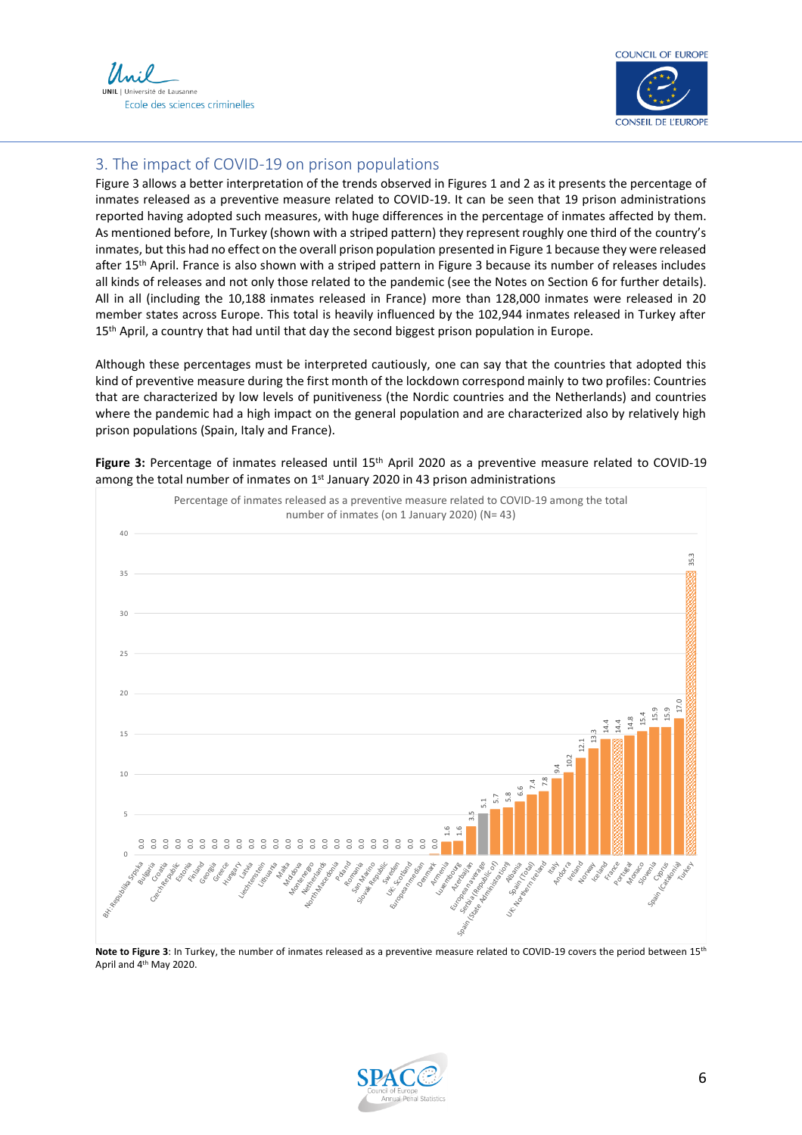



### 3. The impact of COVID-19 on prison populations

Figure 3 allows a better interpretation of the trends observed in Figures 1 and 2 as it presents the percentage of inmates released as a preventive measure related to COVID-19. It can be seen that 19 prison administrations reported having adopted such measures, with huge differences in the percentage of inmates affected by them. As mentioned before, In Turkey (shown with a striped pattern) they represent roughly one third of the country's inmates, but this had no effect on the overall prison population presented in Figure 1 because they were released after 15<sup>th</sup> April. France is also shown with a striped pattern in Figure 3 because its number of releases includes all kinds of releases and not only those related to the pandemic (see the Notes on Section 6 for further details). All in all (including the 10,188 inmates released in France) more than 128,000 inmates were released in 20 member states across Europe. This total is heavily influenced by the 102,944 inmates released in Turkey after 15<sup>th</sup> April, a country that had until that day the second biggest prison population in Europe.

Although these percentages must be interpreted cautiously, one can say that the countries that adopted this kind of preventive measure during the first month of the lockdown correspond mainly to two profiles: Countries that are characterized by low levels of punitiveness (the Nordic countries and the Netherlands) and countries where the pandemic had a high impact on the general population and are characterized also by relatively high prison populations (Spain, Italy and France).



Figure 3: Percentage of inmates released until 15<sup>th</sup> April 2020 as a preventive measure related to COVID-19 among the total number of inmates on  $1<sup>st</sup>$  January 2020 in 43 prison administrations

**Note to Figure 3**: In Turkey, the number of inmates released as a preventive measure related to COVID-19 covers the period between 15th April and 4th May 2020.

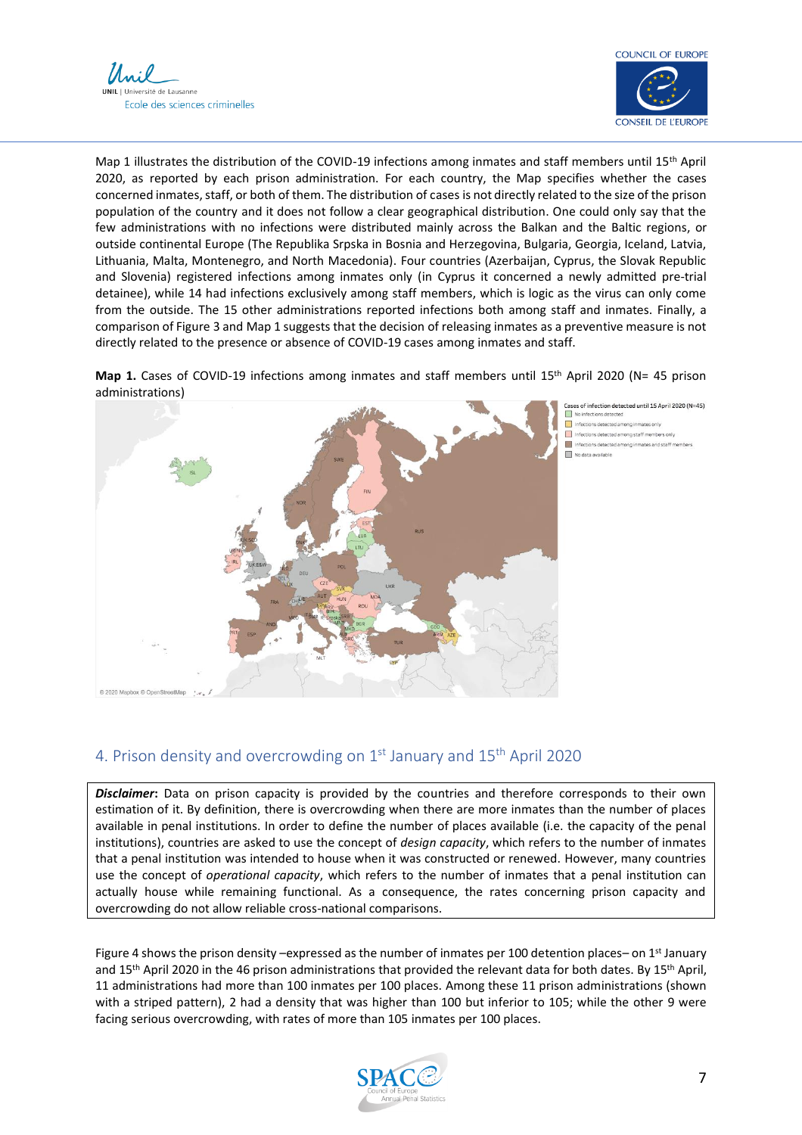



Map 1 illustrates the distribution of the COVID-19 infections among inmates and staff members until 15th April 2020, as reported by each prison administration. For each country, the Map specifies whether the cases concerned inmates, staff, or both of them. The distribution of cases is not directly related to the size of the prison population of the country and it does not follow a clear geographical distribution. One could only say that the few administrations with no infections were distributed mainly across the Balkan and the Baltic regions, or outside continental Europe (The Republika Srpska in Bosnia and Herzegovina, Bulgaria, Georgia, Iceland, Latvia, Lithuania, Malta, Montenegro, and North Macedonia). Four countries (Azerbaijan, Cyprus, the Slovak Republic and Slovenia) registered infections among inmates only (in Cyprus it concerned a newly admitted pre-trial detainee), while 14 had infections exclusively among staff members, which is logic as the virus can only come from the outside. The 15 other administrations reported infections both among staff and inmates. Finally, a comparison of Figure 3 and Map 1 suggests that the decision of releasing inmates as a preventive measure is not directly related to the presence or absence of COVID-19 cases among inmates and staff.

Map 1. Cases of COVID-19 infections among inmates and staff members until 15<sup>th</sup> April 2020 (N= 45 prison administrations)



Cases of infection detected until 15 April 2020 (N=45) No infections detected Infections detected am Infections detected among staff members only Infections detected am No data available

### 4. Prison density and overcrowding on  $1<sup>st</sup>$  January and  $15<sup>th</sup>$  April 2020

*Disclaimer***:** Data on prison capacity is provided by the countries and therefore corresponds to their own estimation of it. By definition, there is overcrowding when there are more inmates than the number of places available in penal institutions. In order to define the number of places available (i.e. the capacity of the penal institutions), countries are asked to use the concept of *design capacity*, which refers to the number of inmates that a penal institution was intended to house when it was constructed or renewed. However, many countries use the concept of *operational capacity*, which refers to the number of inmates that a penal institution can actually house while remaining functional. As a consequence, the rates concerning prison capacity and overcrowding do not allow reliable cross-national comparisons.

Figure 4 shows the prison density –expressed as the number of inmates per 100 detention places– on 1<sup>st</sup> January and 15<sup>th</sup> April 2020 in the 46 prison administrations that provided the relevant data for both dates. By 15<sup>th</sup> April, 11 administrations had more than 100 inmates per 100 places. Among these 11 prison administrations (shown with a striped pattern), 2 had a density that was higher than 100 but inferior to 105; while the other 9 were facing serious overcrowding, with rates of more than 105 inmates per 100 places.

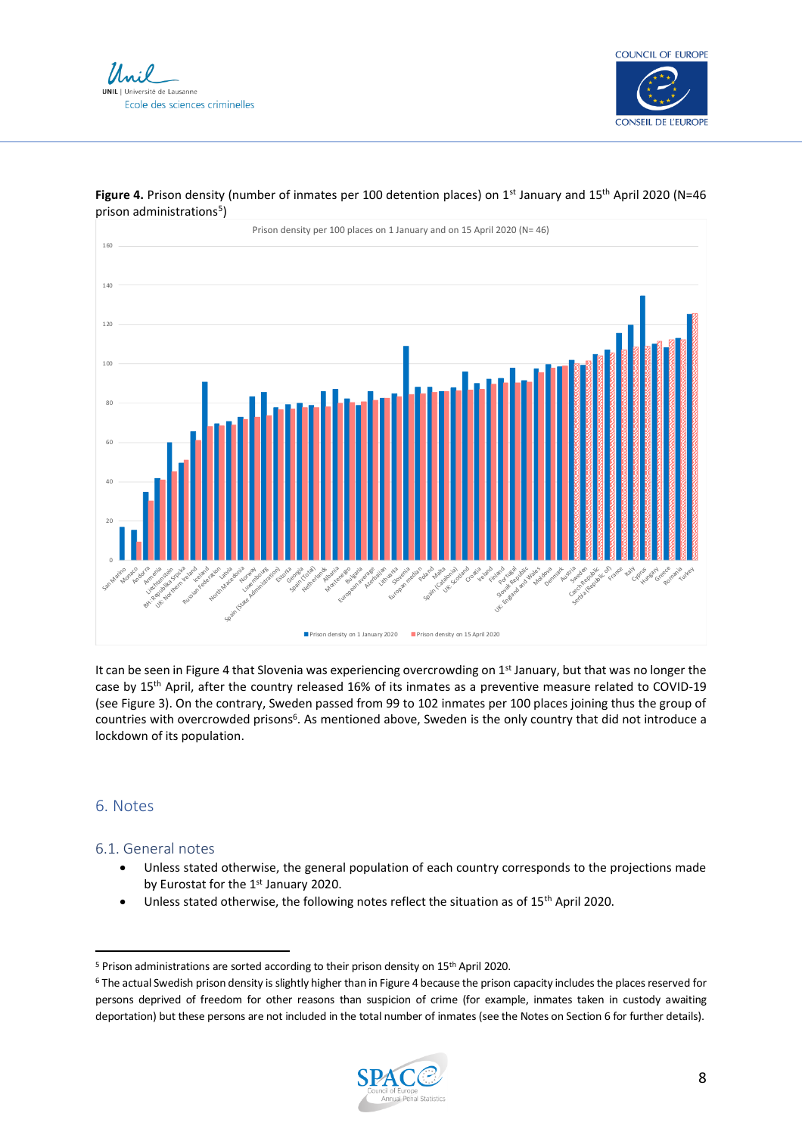





### **Figure 4.** Prison density (number of inmates per 100 detention places) on 1<sup>st</sup> January and 15<sup>th</sup> April 2020 (N=46 prison administrations<sup>5</sup>)

It can be seen in Figure 4 that Slovenia was experiencing overcrowding on 1st January, but that was no longer the case by 15th April, after the country released 16% of its inmates as a preventive measure related to COVID-19 (see Figure 3). On the contrary, Sweden passed from 99 to 102 inmates per 100 places joining thus the group of countries with overcrowded prisons<sup>6</sup>. As mentioned above, Sweden is the only country that did not introduce a lockdown of its population.

### 6. Notes

### 6.1. General notes

- Unless stated otherwise, the general population of each country corresponds to the projections made by Eurostat for the 1<sup>st</sup> January 2020.
- Unless stated otherwise, the following notes reflect the situation as of 15<sup>th</sup> April 2020.

<sup>&</sup>lt;sup>6</sup> The actual Swedish prison density is slightly higher than in Figure 4 because the prison capacity includes the places reserved for persons deprived of freedom for other reasons than suspicion of crime (for example, inmates taken in custody awaiting deportation) but these persons are not included in the total number of inmates (see the Notes on Section 6 for further details).



<sup>5</sup> Prison administrations are sorted according to their prison density on 15th April 2020.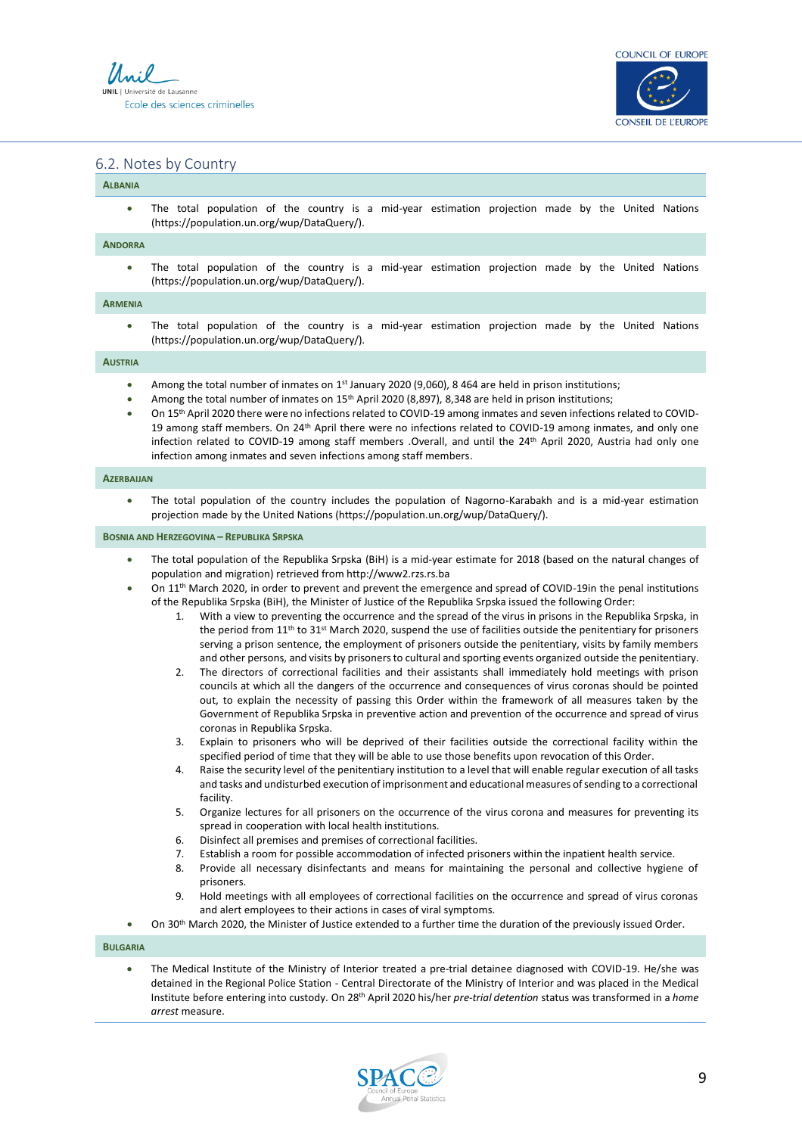



#### 6.2. Notes by Country

### **ALBANIA**

The total population of the country is a mid-year estimation projection made by the United Nations (https://population.un.org/wup/DataQuery/).

#### **ANDORRA**

The total population of the country is a mid-year estimation projection made by the United Nations (https://population.un.org/wup/DataQuery/).

#### **ARMENIA**

The total population of the country is a mid-year estimation projection made by the United Nations (https://population.un.org/wup/DataQuery/).

#### **AUSTRIA**

- Among the total number of inmates on 1<sup>st</sup> January 2020 (9,060), 8 464 are held in prison institutions;
- Among the total number of inmates on 15<sup>th</sup> April 2020 (8,897), 8,348 are held in prison institutions;
- On 15th April 2020 there were no infections related to COVID-19 among inmates and seven infections related to COVID-19 among staff members. On 24th April there were no infections related to COVID-19 among inmates, and only one infection related to COVID-19 among staff members .Overall, and until the 24<sup>th</sup> April 2020, Austria had only one infection among inmates and seven infections among staff members.

#### **AZERBAIJAN**

• The total population of the country includes the population of Nagorno-Karabakh and is a mid-year estimation projection made by the United Nations (https://population.un.org/wup/DataQuery/).

#### **BOSNIA AND HERZEGOVINA – REPUBLIKA SRPSKA**

- The total population of the Republika Srpska (BiH) is a mid-year estimate for 2018 (based on the natural changes of population and migration) retrieved from http://www2.rzs.rs.ba
- On 11th March 2020, in order to prevent and prevent the emergence and spread of COVID-19in the penal institutions of the Republika Srpska (BiH), the Minister of Justice of the Republika Srpska issued the following Order:
	- 1. With a view to preventing the occurrence and the spread of the virus in prisons in the Republika Srpska, in the period from 11<sup>th</sup> to 31<sup>st</sup> March 2020, suspend the use of facilities outside the penitentiary for prisoners serving a prison sentence, the employment of prisoners outside the penitentiary, visits by family members and other persons, and visits by prisoners to cultural and sporting events organized outside the penitentiary.
	- 2. The directors of correctional facilities and their assistants shall immediately hold meetings with prison councils at which all the dangers of the occurrence and consequences of virus coronas should be pointed out, to explain the necessity of passing this Order within the framework of all measures taken by the Government of Republika Srpska in preventive action and prevention of the occurrence and spread of virus coronas in Republika Srpska.
	- 3. Explain to prisoners who will be deprived of their facilities outside the correctional facility within the specified period of time that they will be able to use those benefits upon revocation of this Order.
	- 4. Raise the security level of the penitentiary institution to a level that will enable regular execution of all tasks and tasks and undisturbed execution of imprisonment and educational measures of sending to a correctional facility.
	- 5. Organize lectures for all prisoners on the occurrence of the virus corona and measures for preventing its spread in cooperation with local health institutions.
	- 6. Disinfect all premises and premises of correctional facilities.
	- 7. Establish a room for possible accommodation of infected prisoners within the inpatient health service.
	- 8. Provide all necessary disinfectants and means for maintaining the personal and collective hygiene of prisoners.
	- 9. Hold meetings with all employees of correctional facilities on the occurrence and spread of virus coronas and alert employees to their actions in cases of viral symptoms.
- On 30th March 2020, the Minister of Justice extended to a further time the duration of the previously issued Order.

**BULGARIA**

• The Medical Institute of the Ministry of Interior treated a pre-trial detainee diagnosed with COVID-19. He/she was detained in the Regional Police Station - Central Directorate of the Ministry of Interior and was placed in the Medical Institute before entering into custody. On 28th April 2020 his/her *pre-trial detention* status was transformed in a *home arrest* measure.

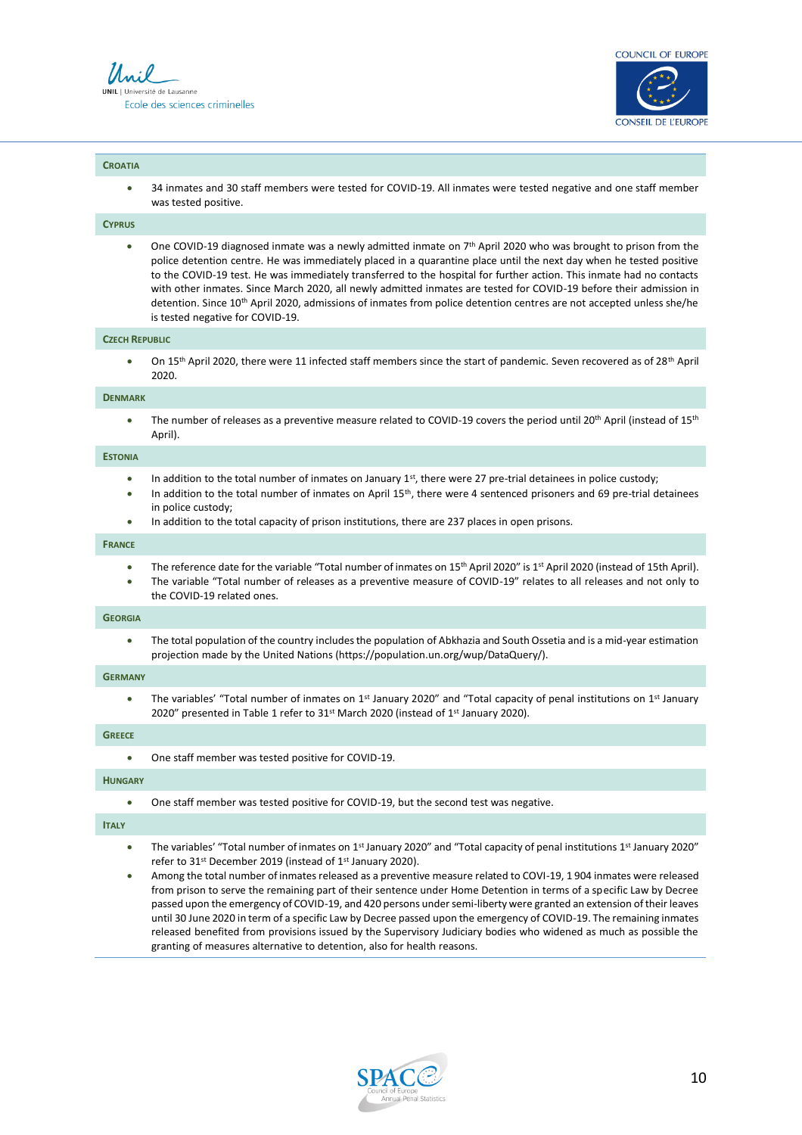



#### **CROATIA**

• 34 inmates and 30 staff members were tested for COVID-19. All inmates were tested negative and one staff member was tested positive.

#### **CYPRUS**

• One COVID-19 diagnosed inmate was a newly admitted inmate on  $7<sup>th</sup>$  April 2020 who was brought to prison from the police detention centre. He was immediately placed in a quarantine place until the next day when he tested positive to the COVID-19 test. He was immediately transferred to the hospital for further action. This inmate had no contacts with other inmates. Since March 2020, all newly admitted inmates are tested for COVID-19 before their admission in detention. Since 10<sup>th</sup> April 2020, admissions of inmates from police detention centres are not accepted unless she/he is tested negative for COVID-19.

#### **CZECH REPUBLIC**

On 15<sup>th</sup> April 2020, there were 11 infected staff members since the start of pandemic. Seven recovered as of 28<sup>th</sup> April 2020.

#### **DENMARK**

The number of releases as a preventive measure related to COVID-19 covers the period until 20<sup>th</sup> April (instead of 15<sup>th</sup> April).

#### **ESTONIA**

- In addition to the total number of inmates on January 1st, there were 27 pre-trial detainees in police custody;
- In addition to the total number of inmates on April  $15<sup>th</sup>$ , there were 4 sentenced prisoners and 69 pre-trial detainees in police custody;
- In addition to the total capacity of prison institutions, there are 237 places in open prisons.

#### **FRANCE**

- The reference date for the variable "Total number of inmates on 15th April 2020" is 1st April 2020 (instead of 15th April).
- The variable "Total number of releases as a preventive measure of COVID-19" relates to all releases and not only to the COVID-19 related ones.

#### **GEORGIA**

• The total population of the country includes the population of Abkhazia and South Ossetia and is a mid-year estimation projection made by the United Nations (https://population.un.org/wup/DataQuery/).

#### **GERMANY**

• The variables' "Total number of inmates on 1<sup>st</sup> January 2020" and "Total capacity of penal institutions on 1<sup>st</sup> January 2020" presented in Table 1 refer to 31<sup>st</sup> March 2020 (instead of 1<sup>st</sup> January 2020).

#### **GREECE**

• One staff member was tested positive for COVID-19.

#### **HUNGARY**

• One staff member was tested positive for COVID-19, but the second test was negative.

#### **ITALY**

- The variables' "Total number of inmates on 1<sup>st</sup> January 2020" and "Total capacity of penal institutions 1<sup>st</sup> January 2020" refer to 31st December 2019 (instead of 1st January 2020).
- Among the total number of inmates released as a preventive measure related to COVI-19, 1 904 inmates were released from prison to serve the remaining part of their sentence under Home Detention in terms of a specific Law by Decree passed upon the emergency of COVID-19, and 420 persons under semi-liberty were granted an extension of their leaves until 30 June 2020 in term of a specific Law by Decree passed upon the emergency of COVID-19. The remaining inmates released benefited from provisions issued by the Supervisory Judiciary bodies who widened as much as possible the granting of measures alternative to detention, also for health reasons.

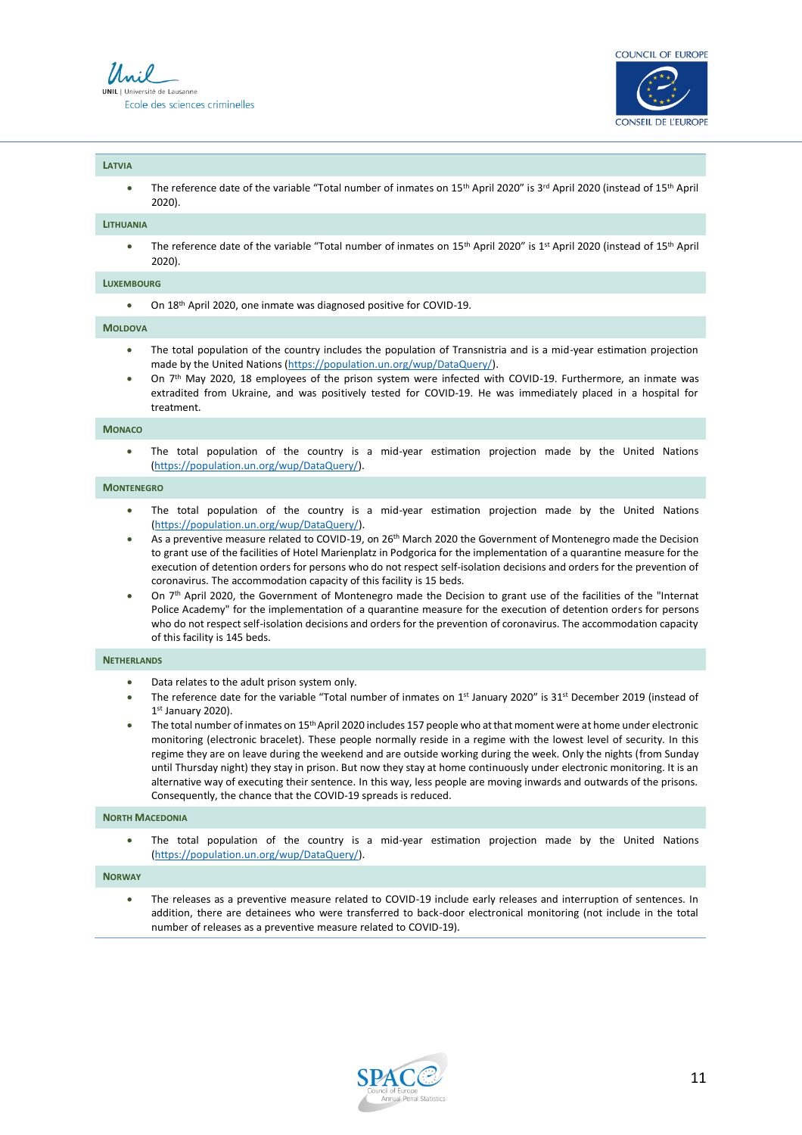



#### **LATVIA**

The reference date of the variable "Total number of inmates on 15<sup>th</sup> April 2020" is 3<sup>rd</sup> April 2020 (instead of 15<sup>th</sup> April 2020).

#### **LITHUANIA**

• The reference date of the variable "Total number of inmates on 15<sup>th</sup> April 2020" is 1<sup>st</sup> April 2020 (instead of 15<sup>th</sup> April 2020).

#### **LUXEMBOURG**

• On 18<sup>th</sup> April 2020, one inmate was diagnosed positive for COVID-19.

#### **MOLDOVA**

- The total population of the country includes the population of Transnistria and is a mid-year estimation projection made by the United Nations [\(https://population.un.org/wup/DataQuery/\)](https://population.un.org/wup/DataQuery/).
- On 7<sup>th</sup> May 2020, 18 employees of the prison system were infected with COVID-19. Furthermore, an inmate was extradited from Ukraine, and was positively tested for COVID-19. He was immediately placed in a hospital for treatment.

#### **MONACO**

The total population of the country is a mid-year estimation projection made by the United Nations [\(https://population.un.org/wup/DataQuery/\)](https://population.un.org/wup/DataQuery/).

#### **MONTENEGRO**

- The total population of the country is a mid-year estimation projection made by the United Nations [\(https://population.un.org/wup/DataQuery/\)](https://population.un.org/wup/DataQuery/).
- As a preventive measure related to COVID-19, on 26<sup>th</sup> March 2020 the Government of Montenegro made the Decision to grant use of the facilities of Hotel Marienplatz in Podgorica for the implementation of a quarantine measure for the execution of detention orders for persons who do not respect self-isolation decisions and orders for the prevention of coronavirus. The accommodation capacity of this facility is 15 beds.
- On 7th April 2020, the Government of Montenegro made the Decision to grant use of the facilities of the "Internat Police Academy" for the implementation of a quarantine measure for the execution of detention orders for persons who do not respect self-isolation decisions and orders for the prevention of coronavirus. The accommodation capacity of this facility is 145 beds.

#### **NETHERLANDS**

- Data relates to the adult prison system only.
- The reference date for the variable "Total number of inmates on 1<sup>st</sup> January 2020" is 31<sup>st</sup> December 2019 (instead of 1 st January 2020).
- The total number of inmates on 15<sup>th</sup> April 2020 includes 157 people who at that moment were at home under electronic monitoring (electronic bracelet). These people normally reside in a regime with the lowest level of security. In this regime they are on leave during the weekend and are outside working during the week. Only the nights (from Sunday until Thursday night) they stay in prison. But now they stay at home continuously under electronic monitoring. It is an alternative way of executing their sentence. In this way, less people are moving inwards and outwards of the prisons. Consequently, the chance that the COVID-19 spreads is reduced.

#### **NORTH MACEDONIA**

The total population of the country is a mid-year estimation projection made by the United Nations [\(https://population.un.org/wup/DataQuery/\)](https://population.un.org/wup/DataQuery/).

#### **NORWAY**

• The releases as a preventive measure related to COVID-19 include early releases and interruption of sentences. In addition, there are detainees who were transferred to back-door electronical monitoring (not include in the total number of releases as a preventive measure related to COVID-19).

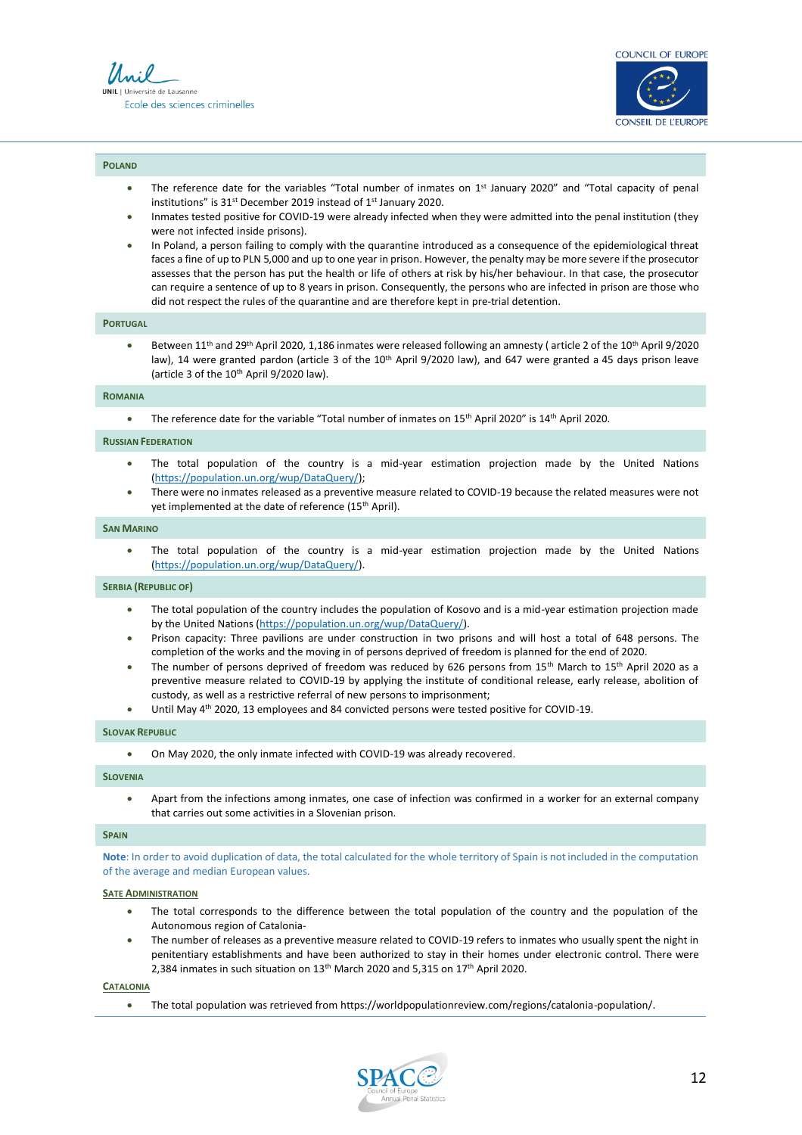

#### **POLAND**

- The reference date for the variables "Total number of inmates on  $1<sup>st</sup>$  January 2020" and "Total capacity of penal institutions" is 31<sup>st</sup> December 2019 instead of 1<sup>st</sup> January 2020.
- Inmates tested positive for COVID-19 were already infected when they were admitted into the penal institution (they were not infected inside prisons).
- In Poland, a person failing to comply with the quarantine introduced as a consequence of the epidemiological threat faces a fine of up to PLN 5,000 and up to one year in prison. However, the penalty may be more severe if the prosecutor assesses that the person has put the health or life of others at risk by his/her behaviour. In that case, the prosecutor can require a sentence of up to 8 years in prison. Consequently, the persons who are infected in prison are those who did not respect the rules of the quarantine and are therefore kept in pre-trial detention.

#### **PORTUGAL**

• Between 11<sup>th</sup> and 29<sup>th</sup> April 2020, 1,186 inmates were released following an amnesty (article 2 of the 10<sup>th</sup> April 9/2020 law), 14 were granted pardon (article 3 of the 10<sup>th</sup> April 9/2020 law), and 647 were granted a 45 days prison leave (article 3 of the  $10^{th}$  April 9/2020 law).

#### **ROMANIA**

• The reference date for the variable "Total number of inmates on 15<sup>th</sup> April 2020" is 14<sup>th</sup> April 2020.

#### **RUSSIAN FEDERATION**

- The total population of the country is a mid-year estimation projection made by the United Nations [\(https://population.un.org/wup/DataQuery/\)](https://population.un.org/wup/DataQuery/);
- There were no inmates released as a preventive measure related to COVID-19 because the related measures were not yet implemented at the date of reference (15<sup>th</sup> April).

#### **SAN MARINO**

• The total population of the country is a mid-year estimation projection made by the United Nations [\(https://population.un.org/wup/DataQuery/\)](https://population.un.org/wup/DataQuery/).

#### **SERBIA (REPUBLIC OF)**

- The total population of the country includes the population of Kosovo and is a mid-year estimation projection made by the United Nations [\(https://population.un.org/wup/DataQuery/\)](https://population.un.org/wup/DataQuery/).
- Prison capacity: Three pavilions are under construction in two prisons and will host a total of 648 persons. The completion of the works and the moving in of persons deprived of freedom is planned for the end of 2020.
- The number of persons deprived of freedom was reduced by 626 persons from 15<sup>th</sup> March to 15<sup>th</sup> April 2020 as a preventive measure related to COVID-19 by applying the institute of conditional release, early release, abolition of custody, as well as a restrictive referral of new persons to imprisonment;
- Until May 4<sup>th</sup> 2020, 13 employees and 84 convicted persons were tested positive for COVID-19.

#### **SLOVAK REPUBLIC**

• On May 2020, the only inmate infected with COVID-19 was already recovered.

#### **SLOVENIA**

• Apart from the infections among inmates, one case of infection was confirmed in a worker for an external company that carries out some activities in a Slovenian prison.

#### **SPAIN**

**Note**: In order to avoid duplication of data, the total calculated for the whole territory of Spain is not included in the computation of the average and median European values.

#### **SATE ADMINISTRATION**

- The total corresponds to the difference between the total population of the country and the population of the Autonomous region of Catalonia-
- The number of releases as a preventive measure related to COVID-19 refers to inmates who usually spent the night in penitentiary establishments and have been authorized to stay in their homes under electronic control. There were 2,384 inmates in such situation on  $13<sup>th</sup>$  March 2020 and 5,315 on  $17<sup>th</sup>$  April 2020.

#### **CATALONIA**

• The total population was retrieved from https://worldpopulationreview.com/regions/catalonia-population/.

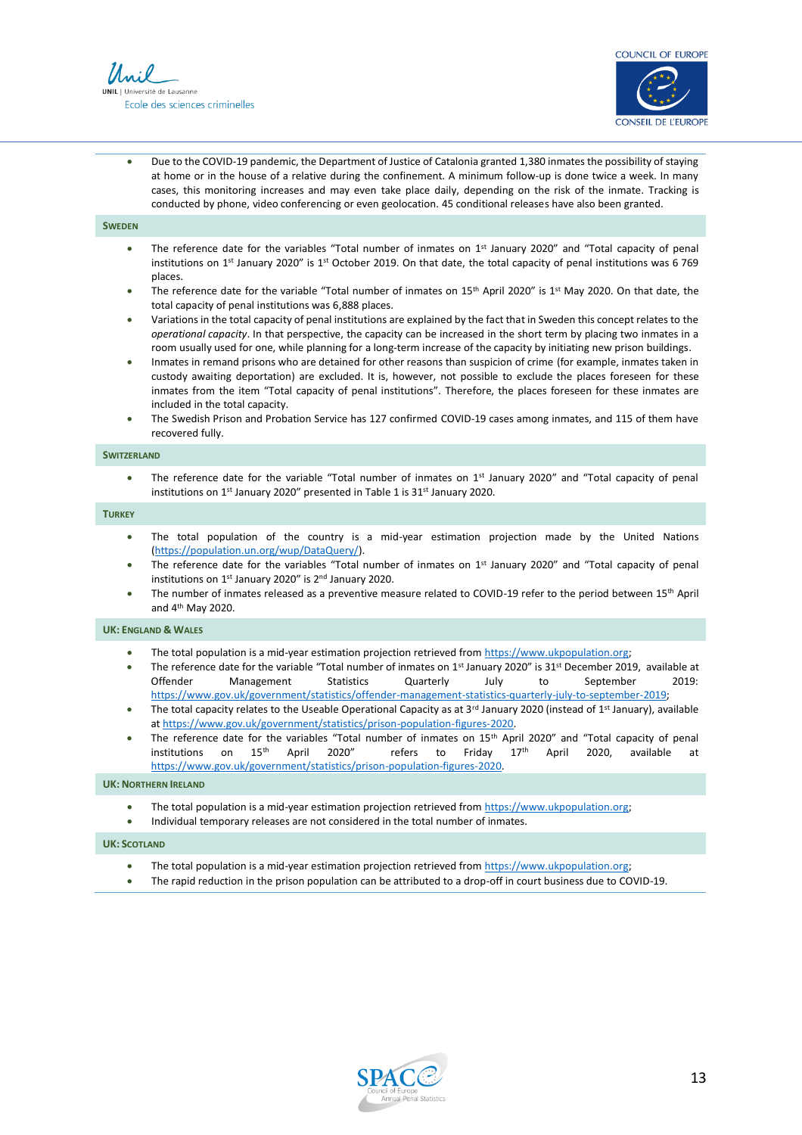



• Due to the COVID-19 pandemic, the Department of Justice of Catalonia granted 1,380 inmates the possibility of staying at home or in the house of a relative during the confinement. A minimum follow-up is done twice a week. In many cases, this monitoring increases and may even take place daily, depending on the risk of the inmate. Tracking is conducted by phone, video conferencing or even geolocation. 45 conditional releases have also been granted.

#### **SWEDEN**

- The reference date for the variables "Total number of inmates on  $1<sup>st</sup>$  January 2020" and "Total capacity of penal institutions on 1<sup>st</sup> January 2020" is 1<sup>st</sup> October 2019. On that date, the total capacity of penal institutions was 6 769 places.
- The reference date for the variable "Total number of inmates on 15<sup>th</sup> April 2020" is 1<sup>st</sup> May 2020. On that date, the total capacity of penal institutions was 6,888 places.
- Variations in the total capacity of penal institutions are explained by the fact that in Sweden this concept relates to the *operational capacity*. In that perspective, the capacity can be increased in the short term by placing two inmates in a room usually used for one, while planning for a long-term increase of the capacity by initiating new prison buildings.
- Inmates in remand prisons who are detained for other reasons than suspicion of crime (for example, inmates taken in custody awaiting deportation) are excluded. It is, however, not possible to exclude the places foreseen for these inmates from the item "Total capacity of penal institutions". Therefore, the places foreseen for these inmates are included in the total capacity.
- The Swedish Prison and Probation Service has 127 confirmed COVID-19 cases among inmates, and 115 of them have recovered fully.

#### **SWITZERLAND**

The reference date for the variable "Total number of inmates on  $1<sup>st</sup>$  January 2020" and "Total capacity of penal institutions on 1<sup>st</sup> January 2020" presented in Table 1 is 31<sup>st</sup> January 2020.

#### **TURKEY**

- The total population of the country is a mid-year estimation projection made by the United Nations [\(https://population.un.org/wup/DataQuery/\)](https://population.un.org/wup/DataQuery/).
- The reference date for the variables "Total number of inmates on 1st January 2020" and "Total capacity of penal institutions on 1st January 2020" is 2nd January 2020.
- The number of inmates released as a preventive measure related to COVID-19 refer to the period between 15<sup>th</sup> April and 4th May 2020.

#### **UK: ENGLAND & WALES**

- The total population is a mid-year estimation projection retrieved fro[m https://www.ukpopulation.org;](https://www.ukpopulation.org/)
- The reference date for the variable "Total number of inmates on 1st January 2020" is 31st December 2019, available at Offender Management Statistics Quarterly July to September 2019: [https://www.gov.uk/government/statistics/offender-management-statistics-quarterly-july-to-september-2019;](https://www.gov.uk/government/statistics/offender-management-statistics-quarterly-july-to-september-2019)
- The total capacity relates to the Useable Operational Capacity as at  $3^{rd}$  January 2020 (instead of  $1^{st}$  January), available at [https://www.gov.uk/government/statistics/prison-population-figures-2020.](https://www.gov.uk/government/statistics/prison-population-figures-2020)
- The reference date for the variables "Total number of inmates on 15th April 2020" and "Total capacity of penal institutions on 15<sup>th</sup> April 2020" refers to Friday 17<sup>th</sup> April 2020, available at [https://www.gov.uk/government/statistics/prison-population-figures-2020.](https://www.gov.uk/government/statistics/prison-population-figures-2020)

#### **UK: NORTHERN IRELAND**

- The total population is a mid-year estimation projection retrieved fro[m https://www.ukpopulation.org;](https://www.ukpopulation.org/)
- Individual temporary releases are not considered in the total number of inmates.

#### **UK: SCOTLAND**

- The total population is a mid-year estimation projection retrieved fro[m https://www.ukpopulation.org;](https://www.ukpopulation.org/)
- The rapid reduction in the prison population can be attributed to a drop-off in court business due to COVID-19.

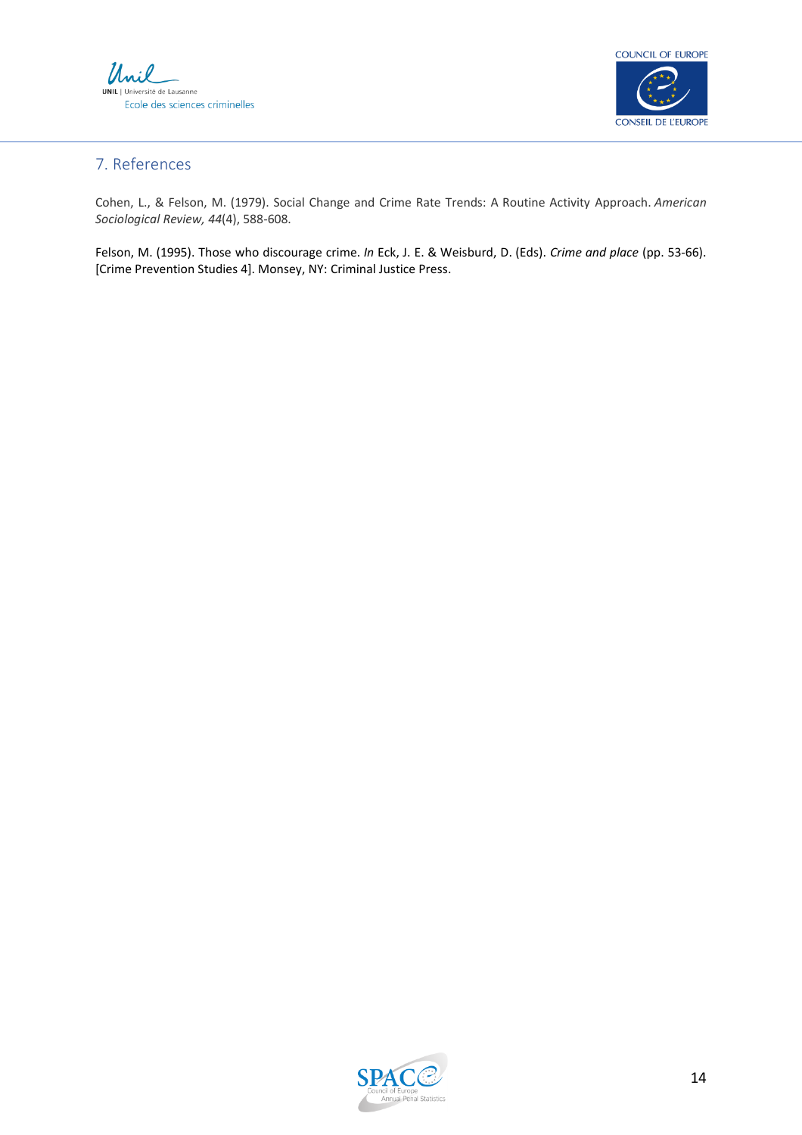



### 7. References

Cohen, L., & Felson, M. (1979). Social Change and Crime Rate Trends: A Routine Activity Approach. *American Sociological Review, 44*(4), 588-608.

Felson, M. (1995). Those who discourage crime. *In* Eck, J. E. & Weisburd, D. (Eds). *Crime and place* (pp. 53-66). [Crime Prevention Studies 4]. Monsey, NY: Criminal Justice Press.

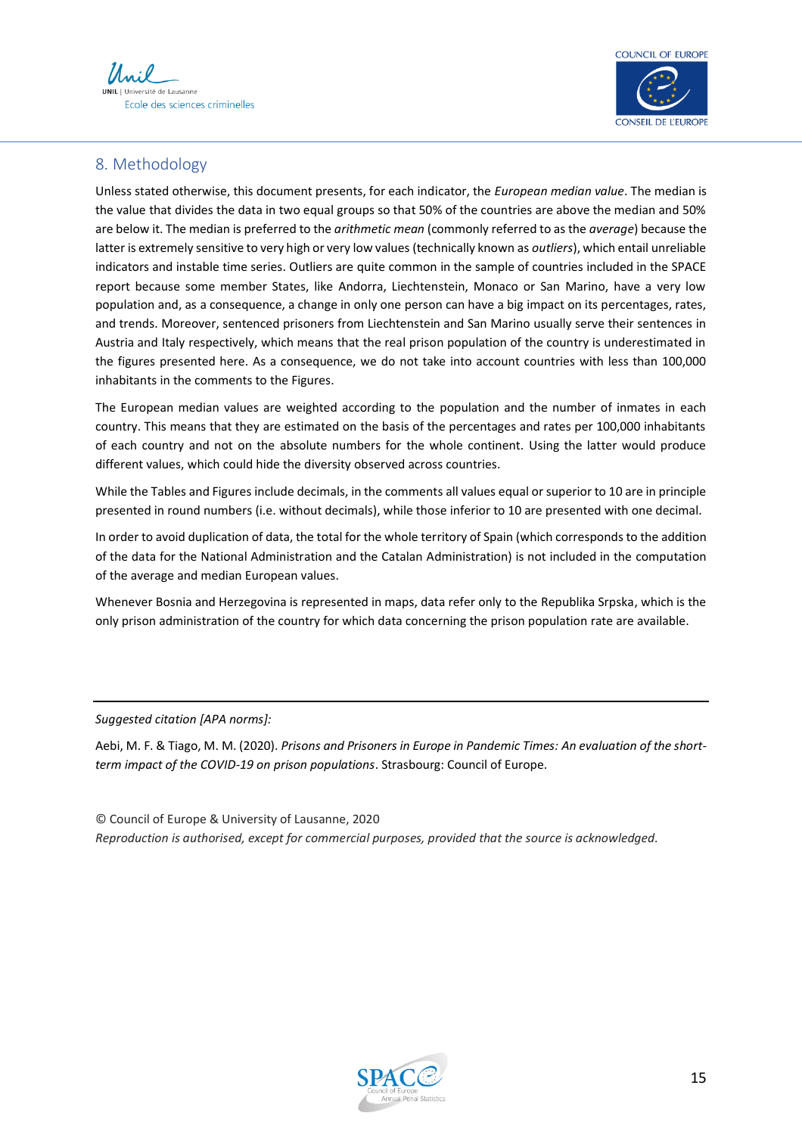



### 8. Methodology

Unless stated otherwise, this document presents, for each indicator, the *European median value*. The median is the value that divides the data in two equal groups so that 50% of the countries are above the median and 50% are below it. The median is preferred to the *arithmetic mean* (commonly referred to as the *average*) because the latter is extremely sensitive to very high or very low values (technically known as *outliers*), which entail unreliable indicators and instable time series. Outliers are quite common in the sample of countries included in the SPACE report because some member States, like Andorra, Liechtenstein, Monaco or San Marino, have a very low population and, as a consequence, a change in only one person can have a big impact on its percentages, rates, and trends. Moreover, sentenced prisoners from Liechtenstein and San Marino usually serve their sentences in Austria and Italy respectively, which means that the real prison population of the country is underestimated in the figures presented here. As a consequence, we do not take into account countries with less than 100,000 inhabitants in the comments to the Figures.

The European median values are weighted according to the population and the number of inmates in each country. This means that they are estimated on the basis of the percentages and rates per 100,000 inhabitants of each country and not on the absolute numbers for the whole continent. Using the latter would produce different values, which could hide the diversity observed across countries.

While the Tables and Figures include decimals, in the comments all values equal or superior to 10 are in principle presented in round numbers (i.e. without decimals), while those inferior to 10 are presented with one decimal.

In order to avoid duplication of data, the total for the whole territory of Spain (which corresponds to the addition of the data for the National Administration and the Catalan Administration) is not included in the computation of the average and median European values.

Whenever Bosnia and Herzegovina is represented in maps, data refer only to the Republika Srpska, which is the only prison administration of the country for which data concerning the prison population rate are available.

*Suggested citation [APA norms]:*

Aebi, M. F. & Tiago, M. M. (2020). *Prisons and Prisoners in Europe in Pandemic Times: An evaluation of the shortterm impact of the COVID-19 on prison populations*. Strasbourg: Council of Europe.

© Council of Europe & University of Lausanne, 2020 *Reproduction is authorised, except for commercial purposes, provided that the source is acknowledged.*

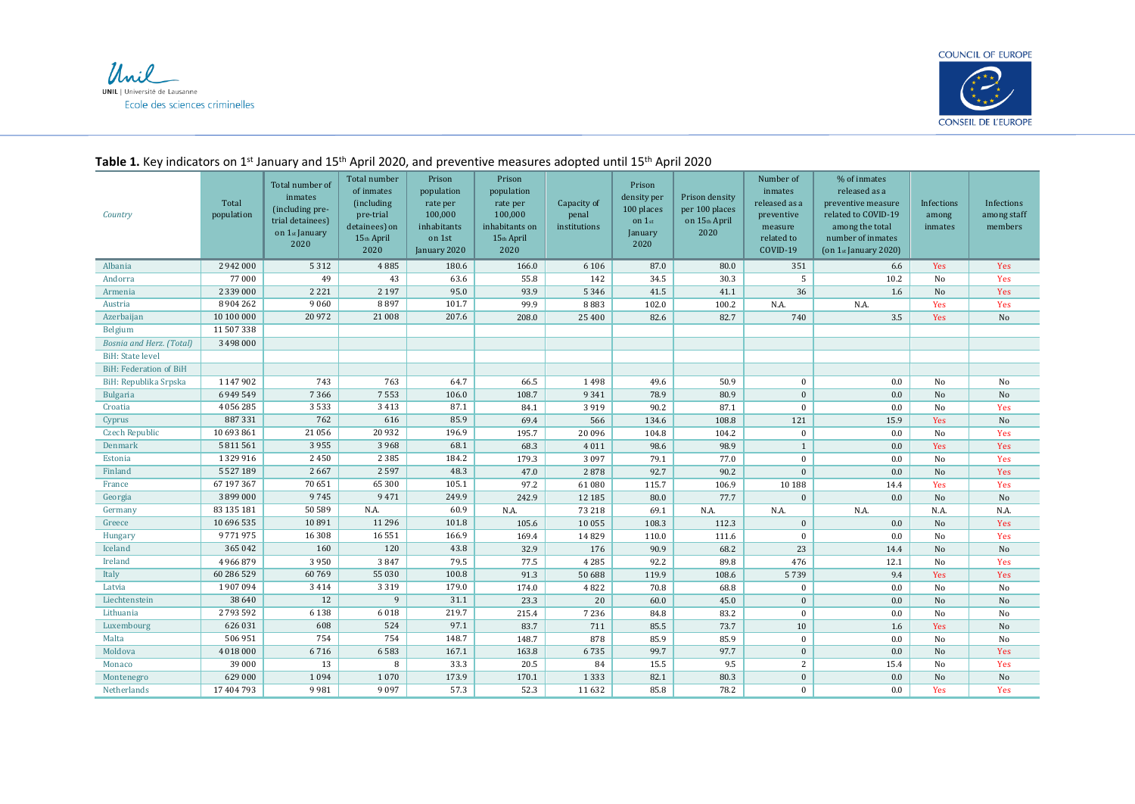



#### *Country* Total population Total number of inmates (including pretrial detainees) on 1st January 2020 Total number of inmates (including pre-trial detainees) on 15th April 2020 Prison population rate per 100,000 inhabitants on 1st January 2020 Prison population rate per 100,000 inhabitants on 15th April 2020 Capacity of penal institutions Prison density per 100 places on 1st January 2020 Prison density per 100 places on 15th April 2020 Number of inmates released as a preventive measure related to COVID-19 % of inmates released as a preventive measure related to COVID-19 among the total number of inmates (on 1st January 2020) Infections among inmates Infections among staff members Albania | 2 942 000 | 5 312 | 4 885 | 180.6 | 166.0 | 6 106 | 87.0 | 80.0 | 351 | 6.6 | Yes | Yes Andorra | 77 000 | 49 | 43 | 63.6 | 55.8 | 142 | 34.5 | 30.3 | 5 | 10.2 | No | Yes Armenia | 2 339 000 | 2 221 | 2 197 | 95.0 | 93.9 | 5 346 | 41.5 | 41.1 | 36 | 1.6 | No | Yes Austria 8 904 262 9 060 8 897 101.7 99.9 8 883 102.0 100.2 N.A. N.A. Yes Yes Azerbaijan | 10 100 000 | 20 972 | 21 008 | 207.6 | 208.0 | 25 400 | 82.6 | 82.7 | 740 | 3.5 | Yes | No Belgium 11 507 338 *Bosnia and Herz. (Total)* 3 498 000 BiH: State level BiH: Federation of BiH BiH: Republika Srpska | 1147 902 | 743 | 763 | 64.7 | 66.5 | 1498 | 49.6 | 50.9 | 0 | 10 | No | No Bulgaria ( 6949 549 7 366 7 553 106.0 108.7 9 341 78.9 80.9 0 0 0 100 No No Croatia 4 056 285 3 533 3 413 87.1 84.1 3 919 90.2 87.1 0 0.0 No Yes Cyprus 887 331 762 616 85.9 69.4 566 134.6 108.8 121 15.9 Yes No Czech Republic | 10 693 861 | 21 056 | 20 932 | 196.9 | 195.7 | 20 096 | 104.8 | 104.2 | 0 | 0.0 | No | Yes Denmark 5 811 561 3 955 3 968 68.1 68.3 4 011 98.6 98.9 1 0.0 Yes Yes Estonia 1999 1999 1999 1996 2 2 385 184.2 179.3 3 097 79.1 77.0 0 0 0 1 No Yes Finland 5 527 189 2 667 2 597 48.3 47.0 2 878 92.7 90.2 0 0.0 No Yes France 67 197 367 70 651 65 300 105.1 97.2 61 080 115.7 106.9 10 188 14.4 Yes Yes Georgia | 3 899 000 | 9 745 | 9 471 | 249.9 | 242.9 | 12 185 | 80.0 | 77.7 | 0 | 0.0 | No | No Germany | 83 135 181 | 50 589 | N.A. | 60.9 | N.A. | 73 218 | 69.1 | N.A. | N.A. | N.A. | N.A. | N.A. | N.A. Greece 1 | 10 696 535 | 10 891 | 11 296 | 101.8 | 105.6 | 10055 | 108.3 | 112.3 | 0 | 0.0 | No | Yes Hungary 9 771 975 16 308 16 551 166.9 169.4 14 829 110.0 111.6 0 0.0 No Yes Iceland | 365 042 | 160 | 120 | 43.8 | 32.9 | 176 | 90.9 | 68.2 | 23 | 14.4 No | No Ireland 4 966 879 3 950 3 847 79.5 77.5 4 285 92.2 89.8 476 12.1 No Yes Italy | 60 286 529 | 60 769 | 55 030 | 100.8 | 91.3 | 50 688 | 119.9 | 108.6 | 5739 | 9.4 | Yes | Yes Latvia 1 907 094 3 414 3 319 179.0 174.0 4 822 70.8 68.8 0 0.0 No No Liechtenstein | 38 640 | 12 | 9 31.1 | 23.3 | 20 | 60.0 | 45.0 | 0 | 0.0 No No No Lithuania 2 793 592 6 138 6 018 219.7 215.4 7 236 84.8 83.2 0 0.0 No No Luxembourg | 626 031 | 608 | 524 | 97.1 | 83.7 | 711 | 85.5 | 73.7 | 10 | 1.6 Yes | No Malta | 506 951 | 754 | 754 | 148.7 | 148.7 | 878 | 85.9 | 85.9 | 0 | 0 | No | No Moldova 4 018 000 6 716 6 583 167.1 163.8 6 735 99.7 97.7 0 0.0 No Yes Monaco 39 000 13 8 33.3 20.5 84 15.5 9.5 2 15.4 No Yes Montenegro | 629 000 | 1094 | 1070 | 173.9 | 170.1 | 1 333 | 82.1 | 80.3 | 0 | 0.0 | No | No Netherlands 17 404 793 9 981 9 097 57.3 52.3 11 632 85.8 78.2 0 0.0 Yes Yes

#### **Table 1.** Key indicators on 1st January and 15th April 2020, and preventive measures adopted until 15th April 2020